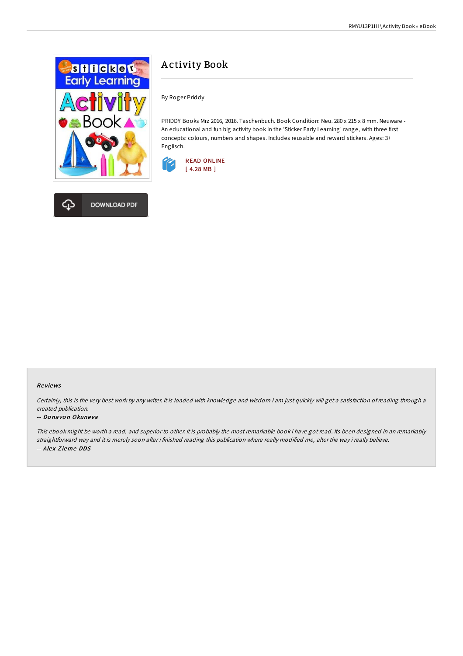

DOWNLOAD PDF

## A ctivity Book

By Roger Priddy

PRIDDY Books Mrz 2016, 2016. Taschenbuch. Book Condition: Neu. 280 x 215 x 8 mm. Neuware - An educational and fun big activity book in the 'Sticker Early Learning' range, with three first concepts: colours, numbers and shapes. Includes reusable and reward stickers. Ages: 3+ Englisch.





Certainly, this is the very best work by any writer. It is loaded with knowledge and wisdom <sup>I</sup> am just quickly will get <sup>a</sup> satisfaction of reading through <sup>a</sup> created publication.

## -- Donavon Okuneva

This ebook might be worth <sup>a</sup> read, and superior to other. It is probably the most remarkable book i have got read. Its been designed in an remarkably straightforward way and it is merely soon after i finished reading this publication where really modified me, alter the way i really believe. -- Alex Zieme DDS